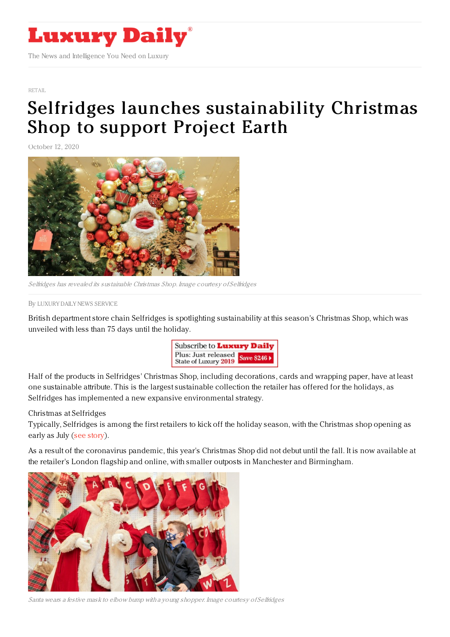

[RETAIL](https://www.luxurydaily.com/category/sectors/retail-industry-sectors/)

## Selfridges launches [sustainability](https://www.luxurydaily.com/selfridges-launches-sustainability-christmas-shop-to-support-project-earth/) Christmas Shop to support Project Earth

October 12, 2020



Selfridges has revealed its sustainable Christmas Shop. Image courtesy of Selfridges

By LUXURY DAILY NEWS [SERVICE](file:///author/luxury-daily-news-service)

British department store chain Selfridges is spotlighting sustainability at this season's Christmas Shop, which was unveiled with less than 75 days until the holiday.



Half of the products in Selfridges' Christmas Shop, including decorations, cards and wrapping paper, have at least one sustainable attribute. This is the largest sustainable collection the retailer has offered for the holidays, as Selfridges has implemented a new expansive environmental strategy.

## Christmas at Selfridges

Typically, Selfridges is among the first retailers to kick off the holiday season, with the Christmas shop opening as early as July (see [story](https://www.luxurydaily.com/selfridges-gets-early-summer-start-on-christmas-shopping/)).

As a result of the coronavirus pandemic, this year's Christmas Shop did not debut until the fall. It is now available at the retailer's London flagship and online, with smaller outposts in Manchester and Birmingham.



Santa wears <sup>a</sup> festive mask to elbow bump with <sup>a</sup> young shopper. Image courtesy of Selfridges